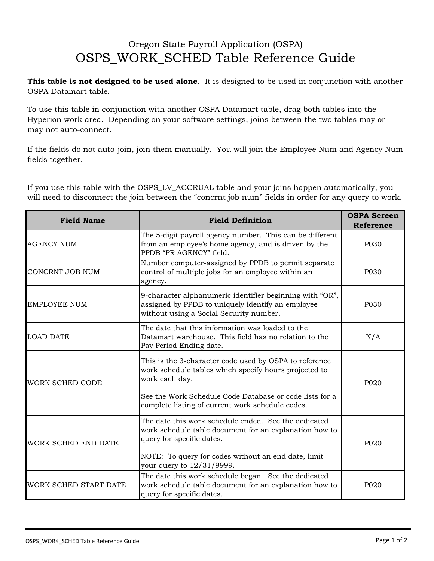## Oregon State Payroll Application (OSPA) OSPS\_WORK\_SCHED Table Reference Guide

**This table is not designed to be used alone**. It is designed to be used in conjunction with another OSPA Datamart table.

To use this table in conjunction with another OSPA Datamart table, drag both tables into the Hyperion work area. Depending on your software settings, joins between the two tables may or may not auto-connect.

If the fields do not auto-join, join them manually. You will join the Employee Num and Agency Num fields together.

If you use this table with the OSPS\_LV\_ACCRUAL table and your joins happen automatically, you will need to disconnect the join between the "concrnt job num" fields in order for any query to work.

| <b>Field Name</b>     | <b>Field Definition</b>                                                                                                                                                                      | <b>OSPA Screen</b><br><b>Reference</b> |
|-----------------------|----------------------------------------------------------------------------------------------------------------------------------------------------------------------------------------------|----------------------------------------|
| <b>AGENCY NUM</b>     | The 5-digit payroll agency number. This can be different<br>from an employee's home agency, and is driven by the<br>PPDB "PR AGENCY" field.                                                  | P030                                   |
| CONCRNT JOB NUM       | Number computer-assigned by PPDB to permit separate<br>control of multiple jobs for an employee within an<br>agency.                                                                         | P030                                   |
| <b>EMPLOYEE NUM</b>   | 9-character alphanumeric identifier beginning with "OR",<br>assigned by PPDB to uniquely identify an employee<br>without using a Social Security number.                                     | P030                                   |
| <b>LOAD DATE</b>      | The date that this information was loaded to the<br>Datamart warehouse. This field has no relation to the<br>Pay Period Ending date.                                                         | N/A                                    |
| WORK SCHED CODE       | This is the 3-character code used by OSPA to reference<br>work schedule tables which specify hours projected to<br>work each day.<br>See the Work Schedule Code Database or code lists for a | P020                                   |
|                       | complete listing of current work schedule codes.                                                                                                                                             |                                        |
| WORK SCHED END DATE   | The date this work schedule ended. See the dedicated<br>work schedule table document for an explanation how to<br>query for specific dates.<br>P020                                          |                                        |
|                       | NOTE: To query for codes without an end date, limit<br>your query to 12/31/9999.                                                                                                             |                                        |
| WORK SCHED START DATE | The date this work schedule began. See the dedicated<br>work schedule table document for an explanation how to<br>query for specific dates.                                                  | P <sub>020</sub>                       |